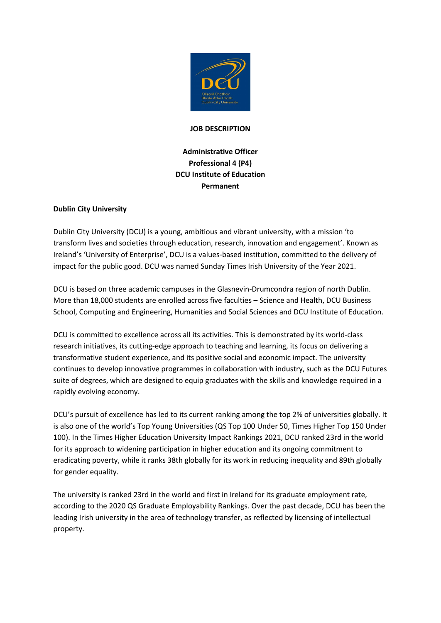

### **JOB DESCRIPTION**

# **Administrative Officer Professional 4 (P4) DCU Institute of Education Permanent**

## **Dublin City University**

Dublin City University (DCU) is a young, ambitious and vibrant university, with a mission 'to transform lives and societies through education, research, innovation and engagement'. Known as Ireland's 'University of Enterprise', DCU is a values-based institution, committed to the delivery of impact for the public good. DCU was named Sunday Times Irish University of the Year 2021.

DCU is based on three academic campuses in the Glasnevin-Drumcondra region of north Dublin. More than 18,000 students are enrolled across five faculties – Science and Health, DCU Business School, Computing and Engineering, Humanities and Social Sciences and DCU Institute of Education.

DCU is committed to excellence across all its activities. This is demonstrated by its world-class research initiatives, its cutting-edge approach to teaching and learning, its focus on delivering a transformative student experience, and its positive social and economic impact. The university continues to develop innovative programmes in collaboration with industry, such as the DCU Futures suite of degrees, which are designed to equip graduates with the skills and knowledge required in a rapidly evolving economy.

DCU's pursuit of excellence has led to its current ranking among the top 2% of universities globally. It is also one of the world's Top Young Universities (QS Top 100 Under 50, Times Higher Top 150 Under 100). In the Times Higher Education University Impact Rankings 2021, DCU ranked 23rd in the world for its approach to widening participation in higher education and its ongoing commitment to eradicating poverty, while it ranks 38th globally for its work in reducing inequality and 89th globally for gender equality.

The university is ranked 23rd in the world and first in Ireland for its graduate employment rate, according to the 2020 QS Graduate Employability Rankings. Over the past decade, DCU has been the leading Irish university in the area of technology transfer, as reflected by licensing of intellectual property.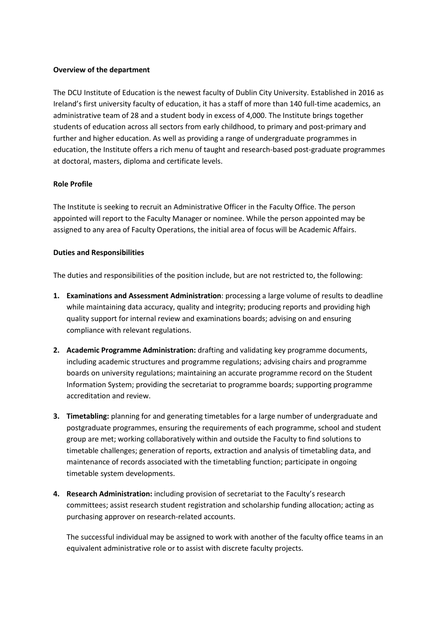#### **Overview of the department**

The DCU Institute of Education is the newest faculty of Dublin City University. Established in 2016 as Ireland's first university faculty of education, it has a staff of more than 140 full-time academics, an administrative team of 28 and a student body in excess of 4,000. The Institute brings together students of education across all sectors from early childhood, to primary and post-primary and further and higher education. As well as providing a range of undergraduate programmes in education, the Institute offers a rich menu of taught and research-based post-graduate programmes at doctoral, masters, diploma and certificate levels.

#### **Role Profile**

The Institute is seeking to recruit an Administrative Officer in the Faculty Office. The person appointed will report to the Faculty Manager or nominee. While the person appointed may be assigned to any area of Faculty Operations, the initial area of focus will be Academic Affairs.

#### **Duties and Responsibilities**

The duties and responsibilities of the position include, but are not restricted to, the following:

- **1. Examinations and Assessment Administration**: processing a large volume of results to deadline while maintaining data accuracy, quality and integrity; producing reports and providing high quality support for internal review and examinations boards; advising on and ensuring compliance with relevant regulations.
- **2. Academic Programme Administration:** drafting and validating key programme documents, including academic structures and programme regulations; advising chairs and programme boards on university regulations; maintaining an accurate programme record on the Student Information System; providing the secretariat to programme boards; supporting programme accreditation and review.
- **3. Timetabling:** planning for and generating timetables for a large number of undergraduate and postgraduate programmes, ensuring the requirements of each programme, school and student group are met; working collaboratively within and outside the Faculty to find solutions to timetable challenges; generation of reports, extraction and analysis of timetabling data, and maintenance of records associated with the timetabling function; participate in ongoing timetable system developments.
- **4. Research Administration:** including provision of secretariat to the Faculty's research committees; assist research student registration and scholarship funding allocation; acting as purchasing approver on research-related accounts.

The successful individual may be assigned to work with another of the faculty office teams in an equivalent administrative role or to assist with discrete faculty projects.